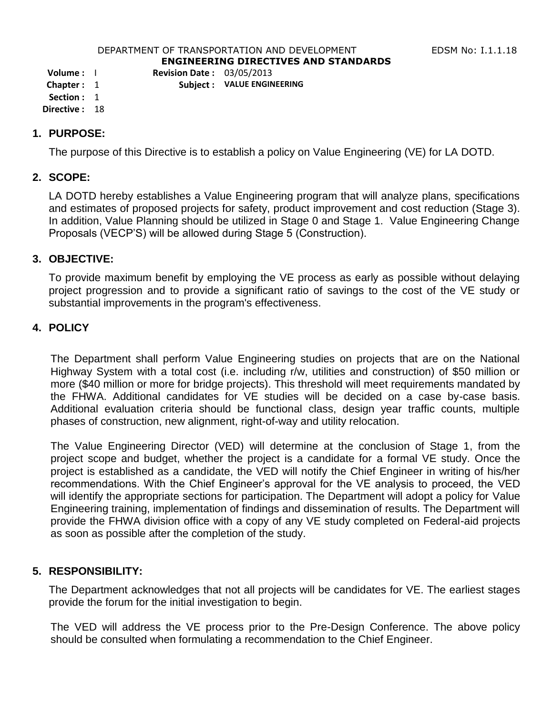#### DEPARTMENT OF TRANSPORTATION AND DEVELOPMENT FOR THE RESS RIGHT RESERVED TO THE LIGHT RESERVED TO THE RESERVED **ENGINEERING DIRECTIVES AND STANDARDS**

**Volume :** I **Revision Date :** 03/05/2013

**Chapter :** 1 **Subject : VALUE ENGINEERING**

**Section :** 1

**Directive :** 18

### **1. PURPOSE:**

The purpose of this Directive is to establish a policy on Value Engineering (VE) for LA DOTD.

## **2. SCOPE:**

LA DOTD hereby establishes a Value Engineering program that will analyze plans, specifications and estimates of proposed projects for safety, product improvement and cost reduction (Stage 3). In addition, Value Planning should be utilized in Stage 0 and Stage 1. Value Engineering Change Proposals (VECP'S) will be allowed during Stage 5 (Construction).

### **3. OBJECTIVE:**

To provide maximum benefit by employing the VE process as early as possible without delaying project progression and to provide a significant ratio of savings to the cost of the VE study or substantial improvements in the program's effectiveness.

# **4. POLICY**

The Department shall perform Value Engineering studies on projects that are on the National Highway System with a total cost (i.e. including r/w, utilities and construction) of \$50 million or more (\$40 million or more for bridge projects). This threshold will meet requirements mandated by the FHWA. Additional candidates for VE studies will be decided on a case by-case basis. Additional evaluation criteria should be functional class, design year traffic counts, multiple phases of construction, new alignment, right-of-way and utility relocation.

The Value Engineering Director (VED) will determine at the conclusion of Stage 1, from the project scope and budget, whether the project is a candidate for a formal VE study. Once the project is established as a candidate, the VED will notify the Chief Engineer in writing of his/her recommendations. With the Chief Engineer's approval for the VE analysis to proceed, the VED will identify the appropriate sections for participation. The Department will adopt a policy for Value Engineering training, implementation of findings and dissemination of results. The Department will provide the FHWA division office with a copy of any VE study completed on Federal-aid projects as soon as possible after the completion of the study.

### **5. RESPONSIBILITY:**

The Department acknowledges that not all projects will be candidates for VE. The earliest stages provide the forum for the initial investigation to begin.

The VED will address the VE process prior to the Pre-Design Conference. The above policy should be consulted when formulating a recommendation to the Chief Engineer.